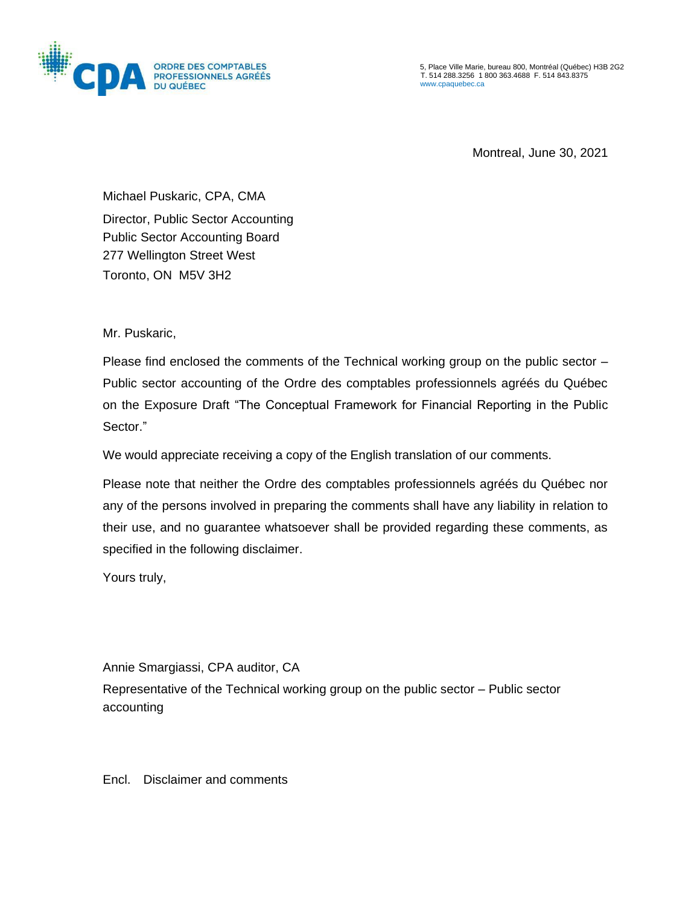

5, Place Ville Marie, bureau 800, Montréal (Québec) H3B 2G2 T. 514 288.3256 1 800 363.4688 F. 514 843.8375 [www.cpaquebec.ca](http://www.cpaquebec.ca/)

Montreal, June 30, 2021

Michael Puskaric, CPA, CMA

Director, Public Sector Accounting Public Sector Accounting Board 277 Wellington Street West Toronto, ON M5V 3H2

Mr. Puskaric,

Please find enclosed the comments of the Technical working group on the public sector – Public sector accounting of the Ordre des comptables professionnels agréés du Québec on the Exposure Draft "The Conceptual Framework for Financial Reporting in the Public Sector."

We would appreciate receiving a copy of the English translation of our comments.

Please note that neither the Ordre des comptables professionnels agréés du Québec nor any of the persons involved in preparing the comments shall have any liability in relation to their use, and no guarantee whatsoever shall be provided regarding these comments, as specified in the following disclaimer.

Yours truly,

Annie Smargiassi, CPA auditor, CA

Representative of the Technical working group on the public sector – Public sector accounting

Encl. Disclaimer and comments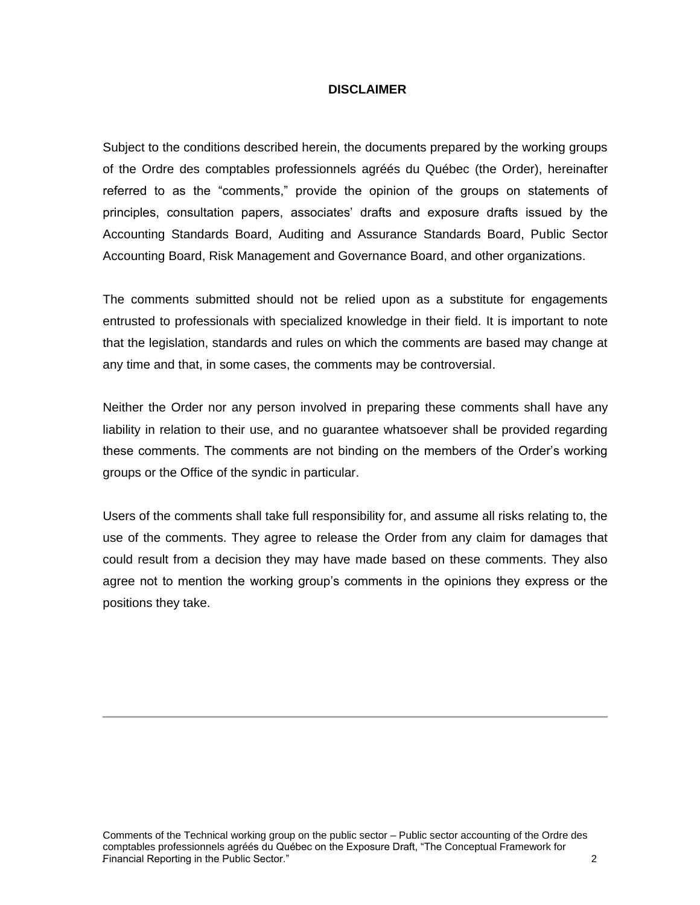### **DISCLAIMER**

Subject to the conditions described herein, the documents prepared by the working groups of the Ordre des comptables professionnels agréés du Québec (the Order), hereinafter referred to as the "comments," provide the opinion of the groups on statements of principles, consultation papers, associates' drafts and exposure drafts issued by the Accounting Standards Board, Auditing and Assurance Standards Board, Public Sector Accounting Board, Risk Management and Governance Board, and other organizations.

The comments submitted should not be relied upon as a substitute for engagements entrusted to professionals with specialized knowledge in their field. It is important to note that the legislation, standards and rules on which the comments are based may change at any time and that, in some cases, the comments may be controversial.

Neither the Order nor any person involved in preparing these comments shall have any liability in relation to their use, and no guarantee whatsoever shall be provided regarding these comments. The comments are not binding on the members of the Order's working groups or the Office of the syndic in particular.

Users of the comments shall take full responsibility for, and assume all risks relating to, the use of the comments. They agree to release the Order from any claim for damages that could result from a decision they may have made based on these comments. They also agree not to mention the working group's comments in the opinions they express or the positions they take.

Comments of the Technical working group on the public sector – Public sector accounting of the Ordre des comptables professionnels agréés du Québec on the Exposure Draft, "The Conceptual Framework for .Financial Reporting in the Public Sector." 2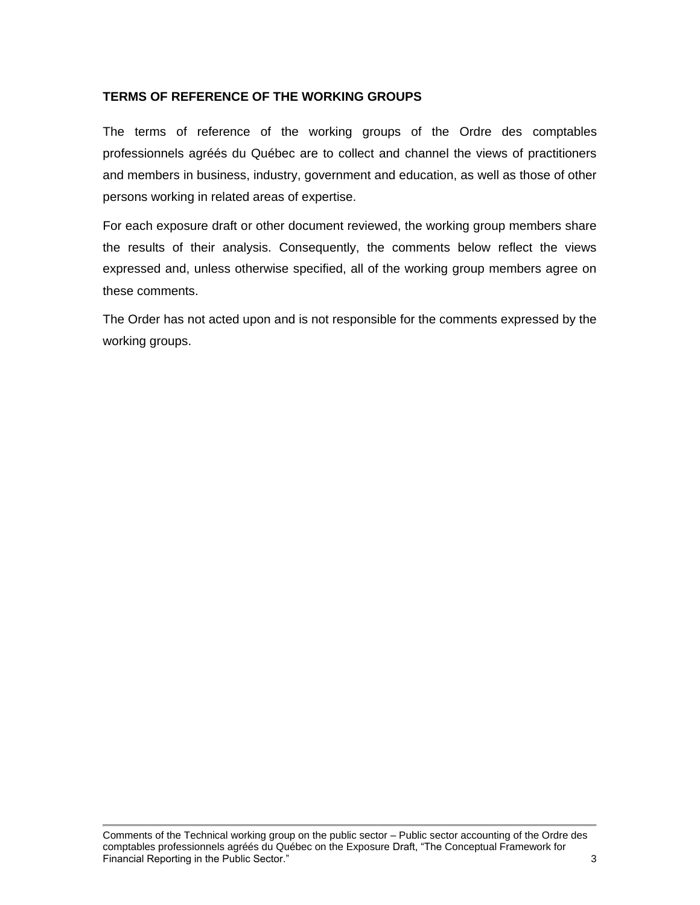## **TERMS OF REFERENCE OF THE WORKING GROUPS**

The terms of reference of the working groups of the Ordre des comptables professionnels agréés du Québec are to collect and channel the views of practitioners and members in business, industry, government and education, as well as those of other persons working in related areas of expertise.

For each exposure draft or other document reviewed, the working group members share the results of their analysis. Consequently, the comments below reflect the views expressed and, unless otherwise specified, all of the working group members agree on these comments.

The Order has not acted upon and is not responsible for the comments expressed by the working groups.

Comments of the Technical working group on the public sector – Public sector accounting of the Ordre des comptables professionnels agréés du Québec on the Exposure Draft, "The Conceptual Framework for Financial Reporting in the Public Sector." 3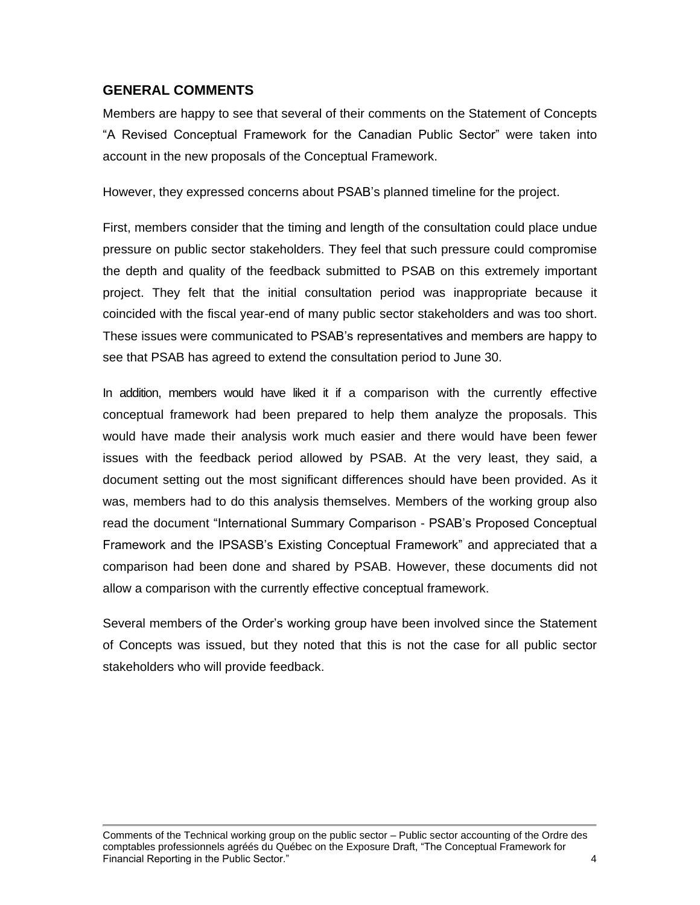# **GENERAL COMMENTS**

Members are happy to see that several of their comments on the Statement of Concepts "A Revised Conceptual Framework for the Canadian Public Sector" were taken into account in the new proposals of the Conceptual Framework.

However, they expressed concerns about PSAB's planned timeline for the project.

First, members consider that the timing and length of the consultation could place undue pressure on public sector stakeholders. They feel that such pressure could compromise the depth and quality of the feedback submitted to PSAB on this extremely important project. They felt that the initial consultation period was inappropriate because it coincided with the fiscal year-end of many public sector stakeholders and was too short. These issues were communicated to PSAB's representatives and members are happy to see that PSAB has agreed to extend the consultation period to June 30.

In addition, members would have liked it if a comparison with the currently effective conceptual framework had been prepared to help them analyze the proposals. This would have made their analysis work much easier and there would have been fewer issues with the feedback period allowed by PSAB. At the very least, they said, a document setting out the most significant differences should have been provided. As it was, members had to do this analysis themselves. Members of the working group also read the document "International Summary Comparison - PSAB's Proposed Conceptual Framework and the IPSASB's Existing Conceptual Framework" and appreciated that a comparison had been done and shared by PSAB. However, these documents did not allow a comparison with the currently effective conceptual framework.

Several members of the Order's working group have been involved since the Statement of Concepts was issued, but they noted that this is not the case for all public sector stakeholders who will provide feedback.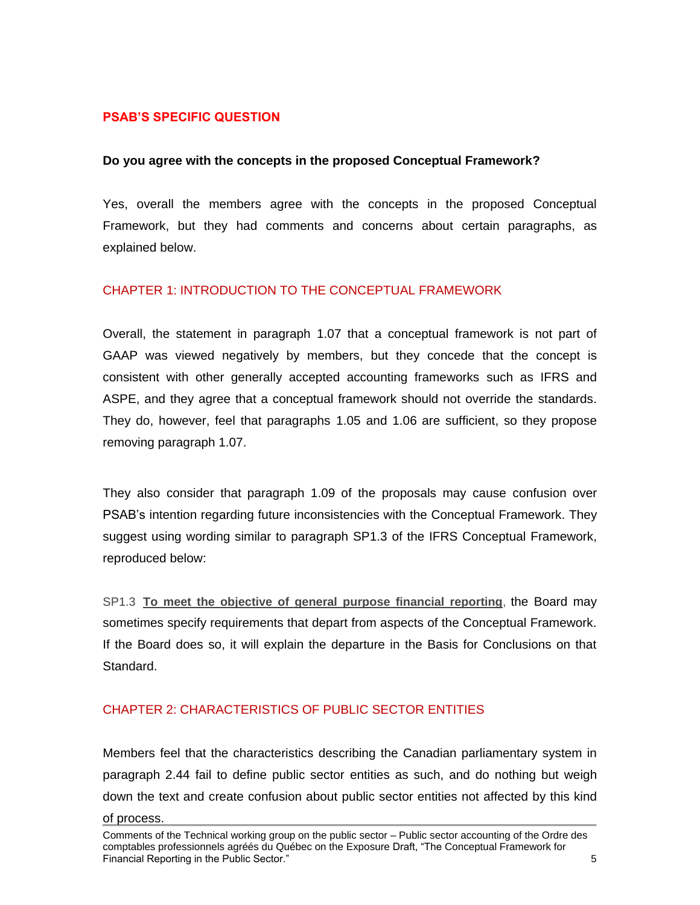### **PSAB'S SPECIFIC QUESTION**

### **Do you agree with the concepts in the proposed Conceptual Framework?**

Yes, overall the members agree with the concepts in the proposed Conceptual Framework, but they had comments and concerns about certain paragraphs, as explained below.

### CHAPTER 1: INTRODUCTION TO THE CONCEPTUAL FRAMEWORK

Overall, the statement in paragraph 1.07 that a conceptual framework is not part of GAAP was viewed negatively by members, but they concede that the concept is consistent with other generally accepted accounting frameworks such as IFRS and ASPE, and they agree that a conceptual framework should not override the standards. They do, however, feel that paragraphs 1.05 and 1.06 are sufficient, so they propose removing paragraph 1.07.

They also consider that paragraph 1.09 of the proposals may cause confusion over PSAB's intention regarding future inconsistencies with the Conceptual Framework. They suggest using wording similar to paragraph SP1.3 of the IFRS Conceptual Framework, reproduced below:

SP1.3 **To meet the objective of general purpose financial reporting**, the Board may sometimes specify requirements that depart from aspects of the Conceptual Framework. If the Board does so, it will explain the departure in the Basis for Conclusions on that Standard.

## CHAPTER 2: CHARACTERISTICS OF PUBLIC SECTOR ENTITIES

Members feel that the characteristics describing the Canadian parliamentary system in paragraph 2.44 fail to define public sector entities as such, and do nothing but weigh down the text and create confusion about public sector entities not affected by this kind of process.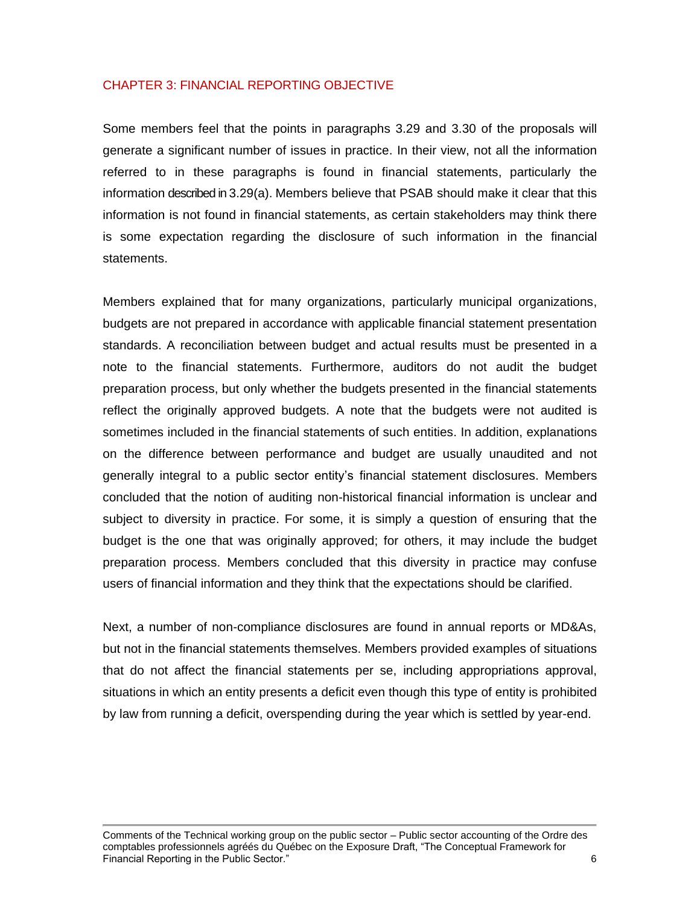### CHAPTER 3: FINANCIAL REPORTING OBJECTIVE

Some members feel that the points in paragraphs 3.29 and 3.30 of the proposals will generate a significant number of issues in practice. In their view, not all the information referred to in these paragraphs is found in financial statements, particularly the information described in 3.29(a). Members believe that PSAB should make it clear that this information is not found in financial statements, as certain stakeholders may think there is some expectation regarding the disclosure of such information in the financial statements.

Members explained that for many organizations, particularly municipal organizations, budgets are not prepared in accordance with applicable financial statement presentation standards. A reconciliation between budget and actual results must be presented in a note to the financial statements. Furthermore, auditors do not audit the budget preparation process, but only whether the budgets presented in the financial statements reflect the originally approved budgets. A note that the budgets were not audited is sometimes included in the financial statements of such entities. In addition, explanations on the difference between performance and budget are usually unaudited and not generally integral to a public sector entity's financial statement disclosures. Members concluded that the notion of auditing non-historical financial information is unclear and subject to diversity in practice. For some, it is simply a question of ensuring that the budget is the one that was originally approved; for others, it may include the budget preparation process. Members concluded that this diversity in practice may confuse users of financial information and they think that the expectations should be clarified.

Next, a number of non-compliance disclosures are found in annual reports or MD&As, but not in the financial statements themselves. Members provided examples of situations that do not affect the financial statements per se, including appropriations approval, situations in which an entity presents a deficit even though this type of entity is prohibited by law from running a deficit, overspending during the year which is settled by year-end.

Comments of the Technical working group on the public sector – Public sector accounting of the Ordre des comptables professionnels agréés du Québec on the Exposure Draft, "The Conceptual Framework for Financial Reporting in the Public Sector." 6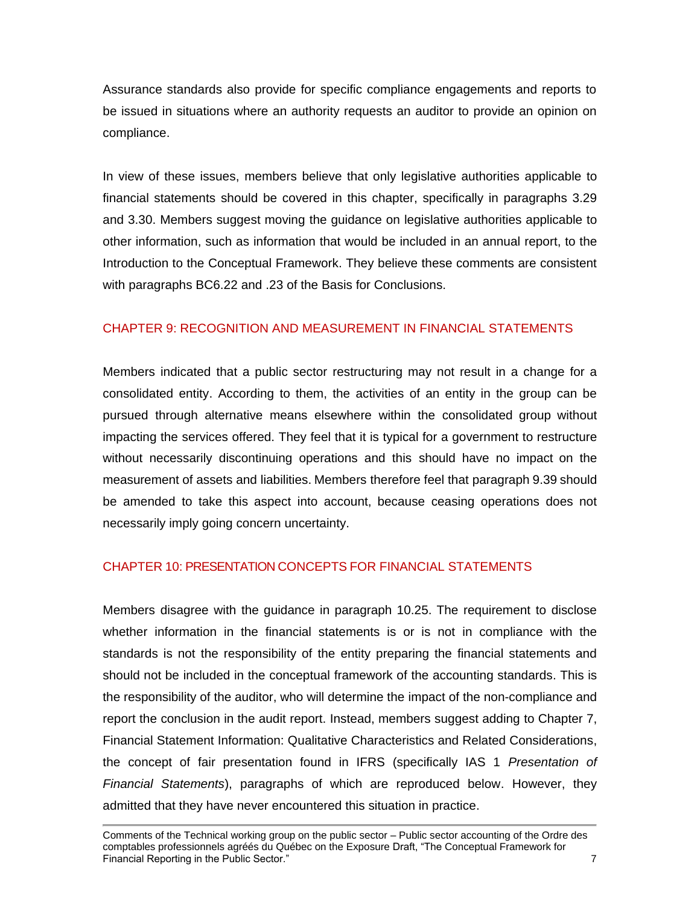Assurance standards also provide for specific compliance engagements and reports to be issued in situations where an authority requests an auditor to provide an opinion on compliance.

In view of these issues, members believe that only legislative authorities applicable to financial statements should be covered in this chapter, specifically in paragraphs 3.29 and 3.30. Members suggest moving the guidance on legislative authorities applicable to other information, such as information that would be included in an annual report, to the Introduction to the Conceptual Framework. They believe these comments are consistent with paragraphs BC6.22 and .23 of the Basis for Conclusions.

# CHAPTER 9: RECOGNITION AND MEASUREMENT IN FINANCIAL STATEMENTS

Members indicated that a public sector restructuring may not result in a change for a consolidated entity. According to them, the activities of an entity in the group can be pursued through alternative means elsewhere within the consolidated group without impacting the services offered. They feel that it is typical for a government to restructure without necessarily discontinuing operations and this should have no impact on the measurement of assets and liabilities. Members therefore feel that paragraph 9.39 should be amended to take this aspect into account, because ceasing operations does not necessarily imply going concern uncertainty.

## CHAPTER 10: PRESENTATION CONCEPTS FOR FINANCIAL STATEMENTS

Members disagree with the guidance in paragraph 10.25. The requirement to disclose whether information in the financial statements is or is not in compliance with the standards is not the responsibility of the entity preparing the financial statements and should not be included in the conceptual framework of the accounting standards. This is the responsibility of the auditor, who will determine the impact of the non-compliance and report the conclusion in the audit report. Instead, members suggest adding to Chapter 7, Financial Statement Information: Qualitative Characteristics and Related Considerations, the concept of fair presentation found in IFRS (specifically IAS 1 *Presentation of Financial Statements*), paragraphs of which are reproduced below. However, they admitted that they have never encountered this situation in practice.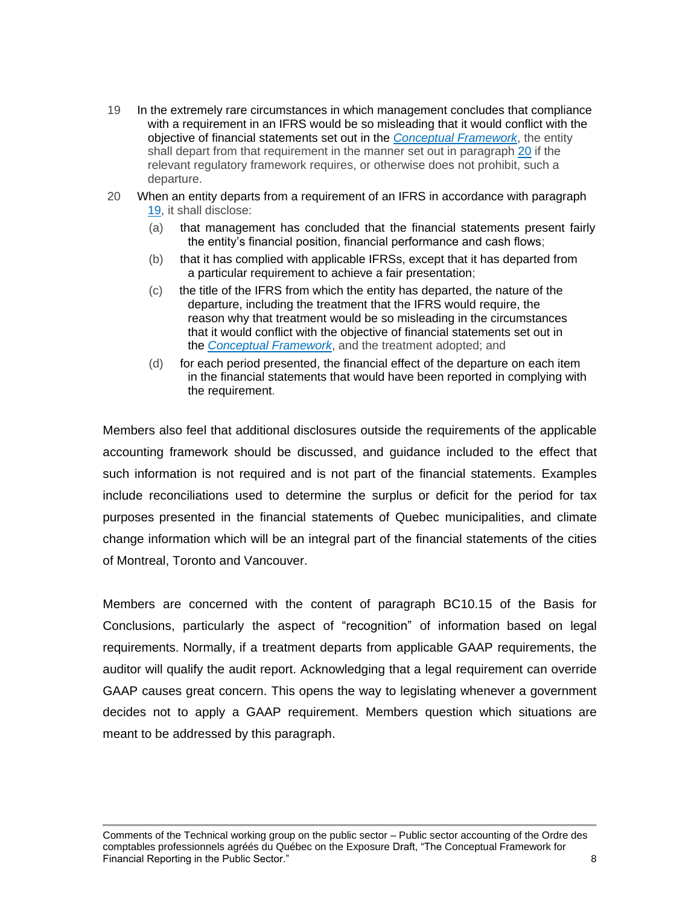- 19 In the extremely rare circumstances in which management concludes that compliance with a requirement in an IFRS would be so misleading that it would conflict with the objective of financial statements set out in the *[Conceptual](https://www.knotia.ca/knowledge/Home.aspx?productid=127) Framework*, the entity shall depart from that requirement in the manner set out in paragraph [20](https://www.knotia.ca/knowledge/Home.aspx?productid=127) if the relevant regulatory framework requires, or otherwise does not prohibit, such a departure.
- 20 When an entity departs from a requirement of an IFRS in accordance with paragraph [19,](https://www.knotia.ca/knowledge/Home.aspx?productid=127) it shall disclose:
	- (a) that management has concluded that the financial statements present fairly the entity's financial position, financial performance and cash flows;
	- (b) that it has complied with applicable IFRSs, except that it has departed from a particular requirement to achieve a fair presentation;
	- (c) the title of the IFRS from which the entity has departed, the nature of the departure, including the treatment that the IFRS would require, the reason why that treatment would be so misleading in the circumstances that it would conflict with the objective of financial statements set out in the *[Conceptual](https://www.knotia.ca/knowledge/Home.aspx?productid=127) Framework*, and the treatment adopted; and
	- (d) for each period presented, the financial effect of the departure on each item in the financial statements that would have been reported in complying with the requirement.

Members also feel that additional disclosures outside the requirements of the applicable accounting framework should be discussed, and guidance included to the effect that such information is not required and is not part of the financial statements. Examples include reconciliations used to determine the surplus or deficit for the period for tax purposes presented in the financial statements of Quebec municipalities, and climate change information which will be an integral part of the financial statements of the cities of Montreal, Toronto and Vancouver.

Members are concerned with the content of paragraph BC10.15 of the Basis for Conclusions, particularly the aspect of "recognition" of information based on legal requirements. Normally, if a treatment departs from applicable GAAP requirements, the auditor will qualify the audit report. Acknowledging that a legal requirement can override GAAP causes great concern. This opens the way to legislating whenever a government decides not to apply a GAAP requirement. Members question which situations are meant to be addressed by this paragraph.

Comments of the Technical working group on the public sector – Public sector accounting of the Ordre des comptables professionnels agréés du Québec on the Exposure Draft, "The Conceptual Framework for Financial Reporting in the Public Sector." 8